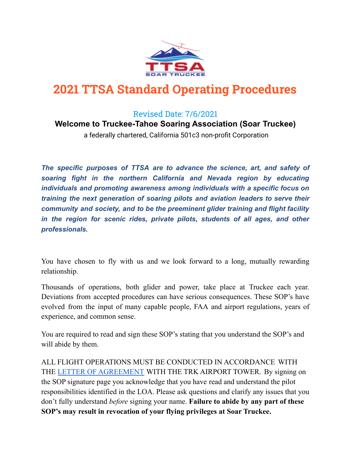

# **2021 TTSA Standard Operating Procedures**

### Revised Date: 7/6/2021

#### **Welcome to Truckee-Tahoe Soaring Association (Soar Truckee)**

a federally chartered, California 501c3 non-profit Corporation

*The specific purposes of TTSA are to advance the science, art, and safety of soaring fight in the northern California and Nevada region by educating individuals and promoting awareness among individuals with a specific focus on training the next generation of soaring pilots and aviation leaders to serve their community and society, and to be the preeminent glider training and flight facility in the region for scenic rides, private pilots, students of all ages, and other professionals.*

You have chosen to fly with us and we look forward to a long, mutually rewarding relationship.

Thousands of operations, both glider and power, take place at Truckee each year. Deviations from accepted procedures can have serious consequences. These SOP's have evolved from the input of many capable people, FAA and airport regulations, years of experience, and common sense.

You are required to read and sign these SOP's stating that you understand the SOP's and will abide by them.

ALL FLIGHT OPERATIONS MUST BE CONDUCTED IN ACCORDANCE WITH THE LETTER OF [AGREEMENT](https://drive.google.com/file/d/1tZBRyNfkfZw4q8fGEMCO6fzlkisgqRyx/view?usp=sharing) WITH THE TRK AIRPORT TOWER. By signing on the SOP signature page you acknowledge that you have read and understand the pilot responsibilities identified in the LOA. Please ask questions and clarify any issues that you don't fully understand *before* signing your name. **Failure to abide by any part of these SOP's may result in revocation of your flying privileges at Soar Truckee.**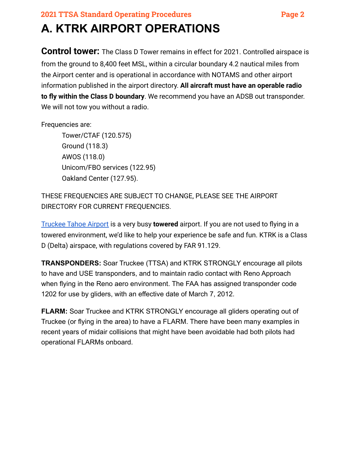# **2021 TTSA Standard Operating Procedures Page 2 A. KTRK AIRPORT OPERATIONS**

**Control tower:** The Class D Tower remains in effect for 2021. Controlled airspace is from the ground to 8,400 feet MSL, within a circular boundary 4.2 nautical miles from the Airport center and is operational in accordance with NOTAMS and other airport information published in the airport directory. **All aircraft must have an operable radio to fly within the Class D boundary**. We recommend you have an ADSB out transponder. We will not tow you without a radio.

Frequencies are:

Tower/CTAF (120.575) Ground (118.3) AWOS (118.0) Unicom/FBO services (122.95) Oakland Center (127.95).

THESE FREQUENCIES ARE SUBJECT TO CHANGE, PLEASE SEE THE AIRPORT DIRECTORY FOR CURRENT FREQUENCIES.

[Truckee Tahoe Airport](https://truckeetahoeairport.com/) is a very busy **towered** airport. If you are not used to flying in a towered environment, we'd like to help your experience be safe and fun. KTRK is a Class D (Delta) airspace, with regulations covered by FAR 91.129.

**TRANSPONDERS:** Soar Truckee (TTSA) and KTRK STRONGLY encourage all pilots to have and USE transponders, and to maintain radio contact with Reno Approach when flying in the Reno aero environment. The FAA has assigned transponder code 1202 for use by gliders, with an effective date of March 7, 2012.

**FLARM:** Soar Truckee and KTRK STRONGLY encourage all gliders operating out of Truckee (or flying in the area) to have a FLARM. There have been many examples in recent years of midair collisions that might have been avoidable had both pilots had operational FLARMs onboard.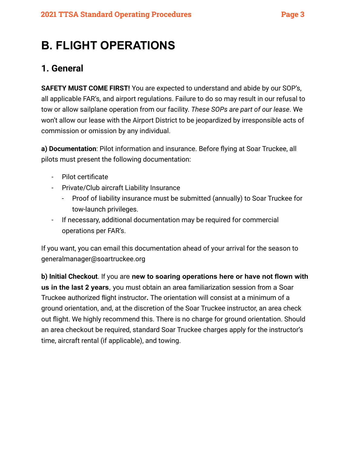# **B. FLIGHT OPERATIONS**

## **1. General**

**SAFETY MUST COME FIRST!** You are expected to understand and abide by our SOP's, all applicable FAR's, and airport regulations. Failure to do so may result in our refusal to tow or allow sailplane operation from our facility. *These SOPs are part of our lease*. We won't allow our lease with the Airport District to be jeopardized by irresponsible acts of commission or omission by any individual.

**a) Documentation**: Pilot information and insurance. Before flying at Soar Truckee, all pilots must present the following documentation:

- Pilot certificate
- Private/Club aircraft Liability Insurance
	- Proof of liability insurance must be submitted (annually) to Soar Truckee for tow-launch privileges.
- If necessary, additional documentation may be required for commercial operations per FAR's.

If you want, you can email this documentation ahead of your arrival for the season to generalmanager@soartruckee.org

**b) Initial Checkout**. If you are **new to soaring operations here or have not flown with us in the last 2 years**, you must obtain an area familiarization session from a Soar Truckee authorized flight instructor**.** The orientation will consist at a minimum of a ground orientation, and, at the discretion of the Soar Truckee instructor, an area check out flight. We highly recommend this. There is no charge for ground orientation. Should an area checkout be required, standard Soar Truckee charges apply for the instructor's time, aircraft rental (if applicable), and towing.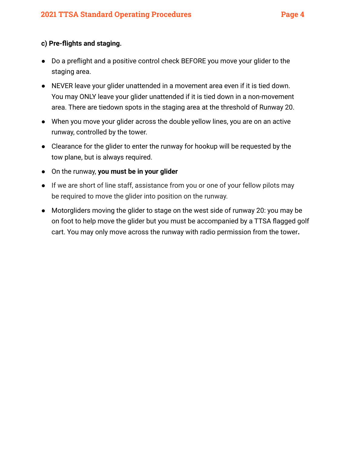#### **c) Pre-flights and staging.**

- Do a preflight and a positive control check BEFORE you move your glider to the staging area.
- NEVER leave your glider unattended in a movement area even if it is tied down. You may ONLY leave your glider unattended if it is tied down in a non-movement area. There are tiedown spots in the staging area at the threshold of Runway 20.
- When you move your glider across the double yellow lines, you are on an active runway, controlled by the tower.
- Clearance for the glider to enter the runway for hookup will be requested by the tow plane, but is always required.
- On the runway, **you must be in your glider**
- If we are short of line staff, assistance from you or one of your fellow pilots may be required to move the glider into position on the runway.
- Motorgliders moving the glider to stage on the west side of runway 20: you may be on foot to help move the glider but you must be accompanied by a TTSA flagged golf cart. You may only move across the runway with radio permission from the tower**.**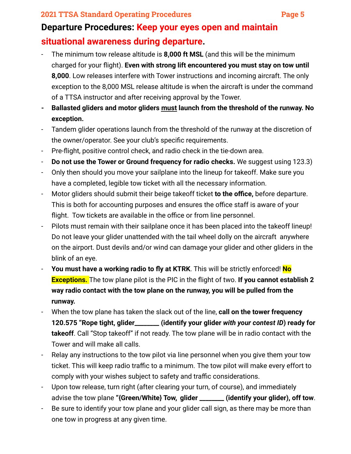### **2021 TTSA Standard Operating Procedures Page 5**

# **Departure Procedures: Keep your eyes open and maintain situational awareness during departure.**

- The minimum tow release altitude is **8,000 ft MSL** (and this will be the minimum charged for your flight). **Even with strong lift encountered you must stay on tow until 8,000**. Low releases interfere with Tower instructions and incoming aircraft. The only exception to the 8,000 MSL release altitude is when the aircraft is under the command of a TTSA instructor and after receiving approval by the Tower.
- **- Ballasted gliders and motor gliders must launch from the threshold of the runway. No exception.**
- Tandem glider operations launch from the threshold of the runway at the discretion of the owner/operator. See your club's specific requirements.
- Pre-flight, positive control check, and radio check in the tie-down area.
- **Do not use the Tower or Ground frequency for radio checks.** We suggest using 123.3)
- Only then should you move your sailplane into the lineup for takeoff. Make sure you have a completed, legible tow ticket with all the necessary information.
- Motor gliders should submit their beige takeoff ticket **to the office,** before departure. This is both for accounting purposes and ensures the office staff is aware of your flight. Tow tickets are available in the office or from line personnel.
- Pilots must remain with their sailplane once it has been placed into the takeoff lineup! Do not leave your glider unattended with the tail wheel dolly on the aircraft anywhere on the airport. Dust devils and/or wind can damage your glider and other gliders in the blink of an eye.
- **You must have a working radio to fly at KTRK**. This will be strictly enforced! **No Exceptions.** The tow plane pilot is the PIC in the flight of two. **If you cannot establish 2 way radio contact with the tow plane on the runway, you will be pulled from the runway.**
- When the tow plane has taken the slack out of the line, **call on the tower frequency 120.575 "Rope tight, glider\_\_\_\_\_\_\_\_ (identify your glider** *with your contest ID***) ready for takeoff**. Call "Stop takeoff" if not ready. The tow plane will be in radio contact with the Tower and will make all calls.
- Relay any instructions to the tow pilot via line personnel when you give them your tow ticket. This will keep radio traffic to a minimum. The tow pilot will make every effort to comply with your wishes subject to safety and traffic considerations.
- Upon tow release, turn right (after clearing your turn, of course), and immediately advise the tow plane **"{Green/White} Tow, glider \_\_\_\_\_\_\_\_ (identify your glider), off tow**.
- Be sure to identify your tow plane and your glider call sign, as there may be more than one tow in progress at any given time.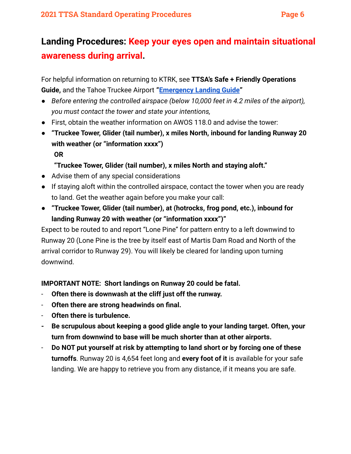## **Landing Procedures: Keep your eyes open and maintain situational awareness during arrival.**

For helpful information on returning to KTRK, see **TTSA's Safe + Friendly Operations Guide,** and the Tahoe Truckee Airport **"[Emergency Landing](https://truckeetahoeairport.com/aviation/emergency-landing-guide) Guide"**

- *● Before entering the controlled airspace (below 10,000 feet in 4.2 miles of the airport), you must contact the tower and state your intentions,*
- First, obtain the weather information on AWOS 118.0 and advise the tower:
- **● "Truckee Tower, Glider (tail number), x miles North, inbound for landing Runway 20 with weather (or "information xxxx") OR**

### **"Truckee Tower, Glider (tail number), x miles North and staying aloft."**

- Advise them of any special considerations
- If staying aloft within the controlled airspace, contact the tower when you are ready to land. Get the weather again before you make your call:
- **● "Truckee Tower, Glider (tail number), at (hotrocks, frog pond, etc.), inbound for landing Runway 20 with weather (or "information xxxx")"**

Expect to be routed to and report "Lone Pine" for pattern entry to a left downwind to Runway 20 (Lone Pine is the tree by itself east of Martis Dam Road and North of the arrival corridor to Runway 29). You will likely be cleared for landing upon turning downwind.

**IMPORTANT NOTE: Short landings on Runway 20 could be fatal.**

- **Often there is downwash at the cliff just off the runway.**
- **Often there are strong headwinds on final.**
- **Often there is turbulence.**
- **- Be scrupulous about keeping a good glide angle to your landing target. Often, your turn from downwind to base will be much shorter than at other airports.**
- **Do NOT put yourself at risk by attempting to land short or by forcing one of these turnoffs**. Runway 20 is 4,654 feet long and **every foot of it** is available for your safe landing. We are happy to retrieve you from any distance, if it means you are safe.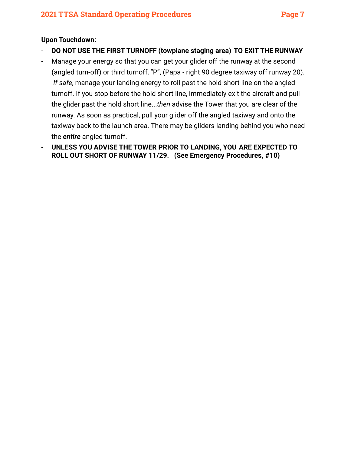#### **Upon Touchdown:**

- **DO NOT USE THE FIRST TURNOFF (towplane staging area) TO EXIT THE RUNWAY**
- Manage your energy so that you can get your glider off the runway at the second (angled turn-off) or third turnoff, "P", (Papa - right 90 degree taxiway off runway 20). *If safe*, manage your landing energy to roll past the hold-short line on the angled turnoff. If you stop before the hold short line, immediately exit the aircraft and pull the glider past the hold short line...*then* advise the Tower that you are clear of the runway. As soon as practical, pull your glider off the angled taxiway and onto the taxiway back to the launch area. There may be gliders landing behind you who need the *entire* angled turnoff.
- **UNLESS YOU ADVISE THE TOWER PRIOR TO LANDING, YOU ARE EXPECTED TO ROLL OUT SHORT OF RUNWAY 11/29. (See Emergency Procedures, #10)**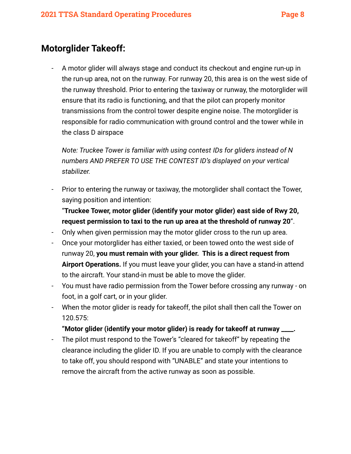### **Motorglider Takeoff:**

- A motor glider will always stage and conduct its checkout and engine run-up in the run-up area, not on the runway. For runway 20, this area is on the west side of the runway threshold. Prior to entering the taxiway or runway, the motorglider will ensure that its radio is functioning, and that the pilot can properly monitor transmissions from the control tower despite engine noise. The motorglider is responsible for radio communication with ground control and the tower while in the class D airspace

*Note: Truckee Tower is familiar with using contest IDs for gliders instead of N numbers AND PREFER TO USE THE CONTEST ID's displayed on your vertical stabilizer.*

- Prior to entering the runway or taxiway, the motorglider shall contact the Tower, saying position and intention:

"**Truckee Tower, motor glider (identify your motor glider) east side of Rwy 20, request permission to taxi to the run up area at the threshold of runway 20**".

- Only when given permission may the motor glider cross to the run up area.
- Once your motorglider has either taxied, or been towed onto the west side of runway 20, **you must remain with your glider. This is a direct request from Airport Operations.** If you must leave your glider, you can have a stand-in attend to the aircraft. Your stand-in must be able to move the glider.
- You must have radio permission from the Tower before crossing any runway on foot, in a golf cart, or in your glider.
- When the motor glider is ready for takeoff, the pilot shall then call the Tower on 120.575:

#### **"Motor glider (identify your motor glider) is ready for takeoff at runway \_\_\_\_.**

- The pilot must respond to the Tower's "cleared for takeoff" by repeating the clearance including the glider ID. If you are unable to comply with the clearance to take off, you should respond with "UNABLE" and state your intentions to remove the aircraft from the active runway as soon as possible.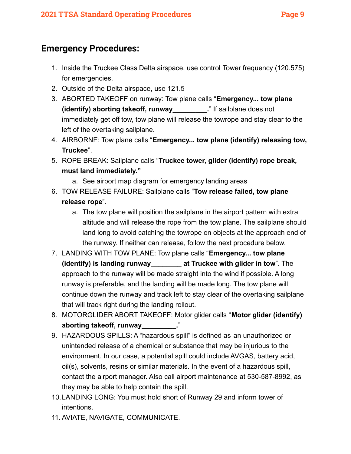### **Emergency Procedures:**

- 1. Inside the Truckee Class Delta airspace, use control Tower frequency (120.575) for emergencies.
- 2. Outside of the Delta airspace, use 121.5
- 3. ABORTED TAKEOFF on runway: Tow plane calls "**Emergency... tow plane (identify) aborting takeoff, runway\_\_\_\_\_\_\_\_\_.**" If sailplane does not immediately get off tow, tow plane will release the towrope and stay clear to the left of the overtaking sailplane.
- 4. AIRBORNE: Tow plane calls "**Emergency... tow plane (identify) releasing tow, Truckee**".
- 5. ROPE BREAK: Sailplane calls "**Truckee tower, glider (identify) rope break, must land immediately."**
	- a. See airport map diagram for emergency landing areas
- 6. TOW RELEASE FAILURE: Sailplane calls "**Tow release failed, tow plane release rope**".
	- a. The tow plane will position the sailplane in the airport pattern with extra altitude and will release the rope from the tow plane. The sailplane should land long to avoid catching the towrope on objects at the approach end of the runway. If neither can release, follow the next procedure below.
- 7. LANDING WITH TOW PLANE: Tow plane calls "**Emergency... tow plane (identify) is landing runway\_\_\_\_\_\_\_\_ at Truckee with glider in tow**". The approach to the runway will be made straight into the wind if possible. A long runway is preferable, and the landing will be made long. The tow plane will continue down the runway and track left to stay clear of the overtaking sailplane that will track right during the landing rollout.
- 8. MOTORGLIDER ABORT TAKEOFF: Motor glider calls "**Motor glider (identify)** aborting takeoff, runway\_\_\_\_\_\_\_\_\_."
- 9. HAZARDOUS SPILLS: A "hazardous spill" is defined as an unauthorized or unintended release of a chemical or substance that may be injurious to the environment. In our case, a potential spill could include AVGAS, battery acid, oil(s), solvents, resins or similar materials. In the event of a hazardous spill, contact the airport manager. Also call airport maintenance at 530-587-8992, as they may be able to help contain the spill.
- 10.LANDING LONG: You must hold short of Runway 29 and inform tower of intentions.
- 11. AVIATE, NAVIGATE, COMMUNICATE.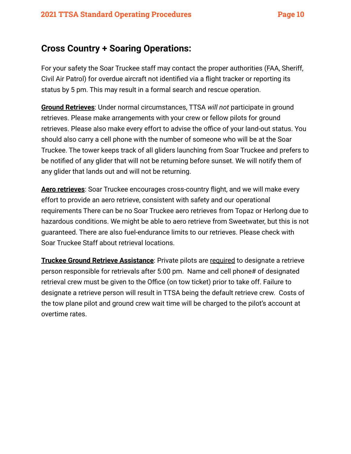### **Cross Country + Soaring Operations:**

For your safety the Soar Truckee staff may contact the proper authorities (FAA, Sheriff, Civil Air Patrol) for overdue aircraft not identified via a flight tracker or reporting its status by 5 pm. This may result in a formal search and rescue operation.

**Ground Retrieves**: Under normal circumstances, TTSA *will not* participate in ground retrieves. Please make arrangements with your crew or fellow pilots for ground retrieves. Please also make every effort to advise the office of your land-out status. You should also carry a cell phone with the number of someone who will be at the Soar Truckee. The tower keeps track of all gliders launching from Soar Truckee and prefers to be notified of any glider that will not be returning before sunset. We will notify them of any glider that lands out and will not be returning.

**Aero retrieves**: Soar Truckee encourages cross-country flight, and we will make every effort to provide an aero retrieve, consistent with safety and our operational requirements There can be no Soar Truckee aero retrieves from Topaz or Herlong due to hazardous conditions. We might be able to aero retrieve from Sweetwater, but this is not guaranteed. There are also fuel-endurance limits to our retrieves. Please check with Soar Truckee Staff about retrieval locations.

**Truckee Ground Retrieve Assistance**: Private pilots are required to designate a retrieve person responsible for retrievals after 5:00 pm. Name and cell phone# of designated retrieval crew must be given to the Office (on tow ticket) prior to take off. Failure to designate a retrieve person will result in TTSA being the default retrieve crew. Costs of the tow plane pilot and ground crew wait time will be charged to the pilot's account at overtime rates.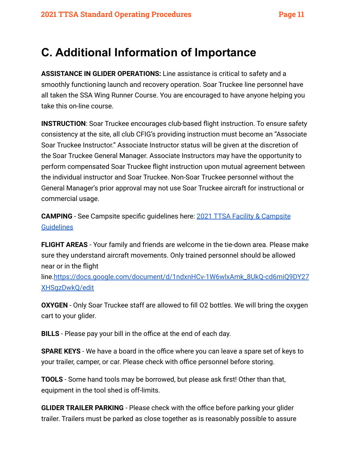# **C. Additional Information of Importance**

**ASSISTANCE IN GLIDER OPERATIONS:** Line assistance is critical to safety and a smoothly functioning launch and recovery operation. Soar Truckee line personnel have all taken the SSA Wing Runner Course. You are encouraged to have anyone helping you take this on-line course.

**INSTRUCTION:** Soar Truckee encourages club-based flight instruction. To ensure safety consistency at the site, all club CFIG's providing instruction must become an "Associate Soar Truckee Instructor." Associate Instructor status will be given at the discretion of the Soar Truckee General Manager. Associate Instructors may have the opportunity to perform compensated Soar Truckee flight instruction upon mutual agreement between the individual instructor and Soar Truckee. Non-Soar Truckee personnel without the General Manager's prior approval may not use Soar Truckee aircraft for instructional or commercial usage.

**CAMPING** - See Campsite specific guidelines here: 2021 [TTSA Facility & Campsite](https://drive.google.com/file/d/1lMnEre1knopqjjXc9TtQj6VROR8eqG2r/view?usp=sharing) **[Guidelines](https://drive.google.com/file/d/1lMnEre1knopqjjXc9TtQj6VROR8eqG2r/view?usp=sharing)** 

**FLIGHT AREAS** - Your family and friends are welcome in the tie-down area. Please make sure they understand aircraft movements. Only trained personnel should be allowed near or in the flight

line.[https://docs.google.com/document/d/1ndxnHCv-1W6wlxAmk\\_8UkQ-cd6miQ9DY27](https://docs.google.com/document/d/1ndxnHCv-1W6wlxAmk_8UkQ-cd6miQ9DY27XHSgzDwkQ/edit) [XHSgzDwkQ/edit](https://docs.google.com/document/d/1ndxnHCv-1W6wlxAmk_8UkQ-cd6miQ9DY27XHSgzDwkQ/edit)

**OXYGEN** - Only Soar Truckee staff are allowed to fill O2 bottles. We will bring the oxygen cart to your glider.

**BILLS** - Please pay your bill in the office at the end of each day.

**SPARE KEYS** - We have a board in the office where you can leave a spare set of keys to your trailer, camper, or car. Please check with office personnel before storing.

**TOOLS** - Some hand tools may be borrowed, but please ask first! Other than that, equipment in the tool shed is off-limits.

**GLIDER TRAILER PARKING** - Please check with the office before parking your glider trailer. Trailers must be parked as close together as is reasonably possible to assure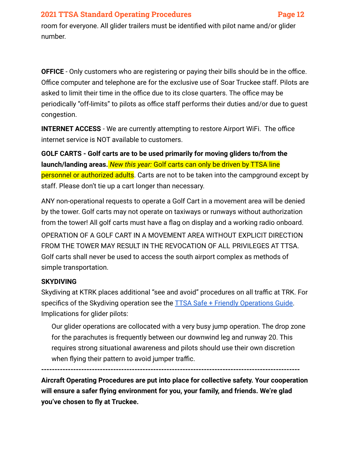#### **2021 TTSA Standard Operating Procedures Page 12**

room for everyone. All glider trailers must be identified with pilot name and/or glider number.

**OFFICE** - Only customers who are registering or paying their bills should be in the office. Office computer and telephone are for the exclusive use of Soar Truckee staff. Pilots are asked to limit their time in the office due to its close quarters. The office may be periodically "off-limits" to pilots as office staff performs their duties and/or due to guest congestion.

**INTERNET ACCESS** - We are currently attempting to restore Airport WiFi. The office internet service is NOT available to customers.

**GOLF CARTS - Golf carts are to be used primarily for moving gliders to/from the launch/landing areas.** *New this year:* Golf carts can only be driven by TTSA line personnel or authorized adults. Carts are not to be taken into the campground except by staff. Please don't tie up a cart longer than necessary.

ANY non-operational requests to operate a Golf Cart in a movement area will be denied by the tower. Golf carts may not operate on taxiways or runways without authorization from the tower! All golf carts must have a flag on display and a working radio onboard. OPERATION OF A GOLF CART IN A MOVEMENT AREA WITHOUT EXPLICIT DIRECTION FROM THE TOWER MAY RESULT IN THE REVOCATION OF ALL PRIVILEGES AT TTSA. Golf carts shall never be used to access the south airport complex as methods of simple transportation.

#### **SKYDIVING**

Skydiving at KTRK places additional "see and avoid" procedures on all traffic at TRK. For specifics of the Skydiving operation see the **TTSA Safe + Friendly Operations Guide**. Implications for glider pilots:

Our glider operations are collocated with a very busy jump operation. The drop zone for the parachutes is frequently between our downwind leg and runway 20. This requires strong situational awareness and pilots should use their own discretion when flying their pattern to avoid jumper traffic.

**-------------------------------------------------------------------------------------------------**

**Aircraft Operating Procedures are put into place for collective safety. Your cooperation will ensure a safer flying environment for you, your family, and friends. We're glad you've chosen to fly at Truckee.**